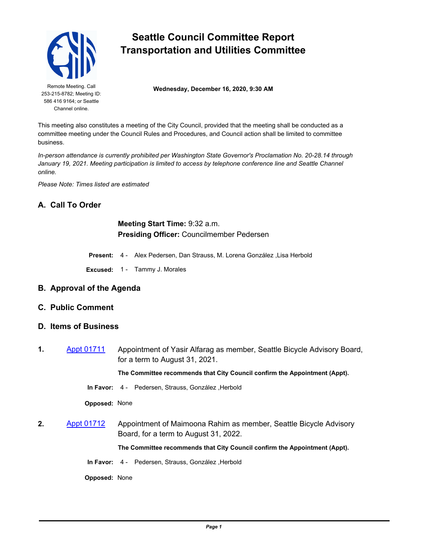

253-215-8782; Meeting ID: 586 416 9164; or Seattle Channel online.

# **Seattle Council Committee Report Transportation and Utilities Committee**

Remote Meeting. Call **Wednesday, December 16, 2020, 9:30 AM** 

This meeting also constitutes a meeting of the City Council, provided that the meeting shall be conducted as a committee meeting under the Council Rules and Procedures, and Council action shall be limited to committee business.

*In-person attendance is currently prohibited per Washington State Governor's Proclamation No. 20-28.14 through*  January 19, 2021. Meeting participation is limited to access by telephone conference line and Seattle Channel *online.*

*Please Note: Times listed are estimated*

### **A. Call To Order**

**Meeting Start Time:** 9:32 a.m. **Presiding Officer:** Councilmember Pedersen

**Present:** 4 - Alex Pedersen, Dan Strauss, M. Lorena González ,Lisa Herbold

**Excused:** 1 - Tammy J. Morales

#### **B. Approval of the Agenda**

**C. Public Comment**

#### **D. Items of Business**

**1.** [Appt 01711](http://seattle.legistar.com/gateway.aspx?m=l&id=/matter.aspx?key=11205) Appointment of Yasir Alfarag as member, Seattle Bicycle Advisory Board, for a term to August 31, 2021.

**The Committee recommends that City Council confirm the Appointment (Appt).**

**In Favor:** 4 - Pedersen, Strauss, González ,Herbold

**Opposed:** None

**2.** [Appt 01712](http://seattle.legistar.com/gateway.aspx?m=l&id=/matter.aspx?key=11207) Appointment of Maimoona Rahim as member, Seattle Bicycle Advisory Board, for a term to August 31, 2022.

**The Committee recommends that City Council confirm the Appointment (Appt).**

**In Favor:** 4 - Pedersen, Strauss, González ,Herbold

**Opposed:** None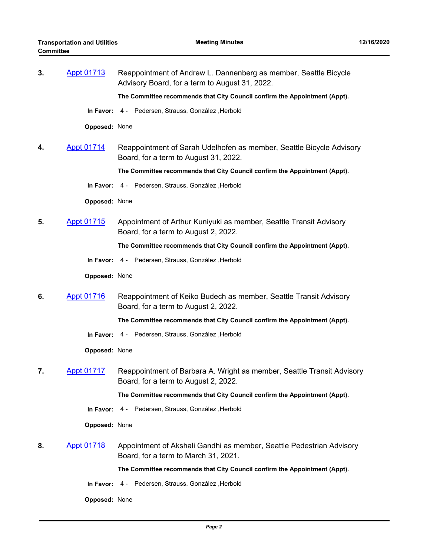| 3. | <b>Appt 01713</b> | Reappointment of Andrew L. Dannenberg as member, Seattle Bicycle<br>Advisory Board, for a term to August 31, 2022. |
|----|-------------------|--------------------------------------------------------------------------------------------------------------------|
|    |                   | The Committee recommends that City Council confirm the Appointment (Appt).                                         |
|    | In Favor:         | 4 - Pedersen, Strauss, González, Herbold                                                                           |
|    | Opposed: None     |                                                                                                                    |
| 4. | <b>Appt 01714</b> | Reappointment of Sarah Udelhofen as member, Seattle Bicycle Advisory<br>Board, for a term to August 31, 2022.      |
|    |                   | The Committee recommends that City Council confirm the Appointment (Appt).                                         |
|    |                   | In Favor: 4 - Pedersen, Strauss, González, Herbold                                                                 |
|    | Opposed: None     |                                                                                                                    |
| 5. | <b>Appt 01715</b> | Appointment of Arthur Kuniyuki as member, Seattle Transit Advisory<br>Board, for a term to August 2, 2022.         |
|    |                   | The Committee recommends that City Council confirm the Appointment (Appt).                                         |
|    | In Favor:         | 4 - Pedersen, Strauss, González , Herbold                                                                          |
|    | Opposed: None     |                                                                                                                    |
| 6. | <b>Appt 01716</b> | Reappointment of Keiko Budech as member, Seattle Transit Advisory<br>Board, for a term to August 2, 2022.          |
|    |                   | The Committee recommends that City Council confirm the Appointment (Appt).                                         |
|    |                   | In Favor: 4 - Pedersen, Strauss, González, Herbold                                                                 |
|    | Opposed: None     |                                                                                                                    |
| 7. | <b>Appt 01717</b> | Reappointment of Barbara A. Wright as member, Seattle Transit Advisory<br>Board, for a term to August 2, 2022.     |
|    |                   | The Committee recommends that City Council confirm the Appointment (Appt).                                         |
|    |                   | In Favor: 4 - Pedersen, Strauss, González, Herbold                                                                 |
|    | Opposed: None     |                                                                                                                    |
| 8. | <b>Appt 01718</b> | Appointment of Akshali Gandhi as member, Seattle Pedestrian Advisory<br>Board, for a term to March 31, 2021.       |
|    |                   | The Committee recommends that City Council confirm the Appointment (Appt).                                         |
|    | In Favor:         | 4 - Pedersen, Strauss, González, Herbold                                                                           |
|    | Opposed: None     |                                                                                                                    |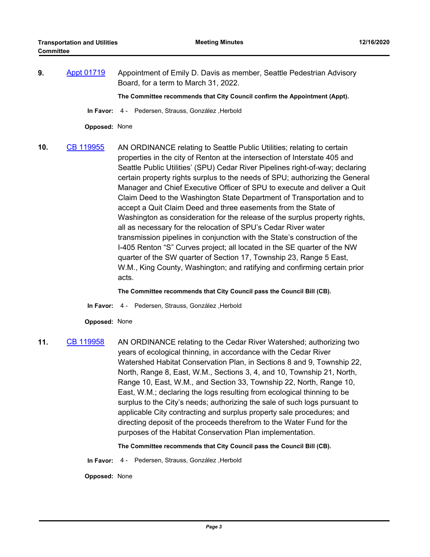**9.** [Appt 01719](http://seattle.legistar.com/gateway.aspx?m=l&id=/matter.aspx?key=11203) Appointment of Emily D. Davis as member, Seattle Pedestrian Advisory Board, for a term to March 31, 2022.

**The Committee recommends that City Council confirm the Appointment (Appt).**

**In Favor:** 4 - Pedersen, Strauss, González ,Herbold

**Opposed:** None

**10.** [CB 119955](http://seattle.legistar.com/gateway.aspx?m=l&id=/matter.aspx?key=10447) AN ORDINANCE relating to Seattle Public Utilities; relating to certain properties in the city of Renton at the intersection of Interstate 405 and Seattle Public Utilities' (SPU) Cedar River Pipelines right-of-way; declaring certain property rights surplus to the needs of SPU; authorizing the General Manager and Chief Executive Officer of SPU to execute and deliver a Quit Claim Deed to the Washington State Department of Transportation and to accept a Quit Claim Deed and three easements from the State of Washington as consideration for the release of the surplus property rights, all as necessary for the relocation of SPU's Cedar River water transmission pipelines in conjunction with the State's construction of the I-405 Renton "S" Curves project; all located in the SE quarter of the NW quarter of the SW quarter of Section 17, Township 23, Range 5 East, W.M., King County, Washington; and ratifying and confirming certain prior acts.

**The Committee recommends that City Council pass the Council Bill (CB).**

**In Favor:** 4 - Pedersen, Strauss, González ,Herbold

**Opposed:** None

**11.** [CB 119958](http://seattle.legistar.com/gateway.aspx?m=l&id=/matter.aspx?key=10519) AN ORDINANCE relating to the Cedar River Watershed; authorizing two years of ecological thinning, in accordance with the Cedar River Watershed Habitat Conservation Plan, in Sections 8 and 9, Township 22, North, Range 8, East, W.M., Sections 3, 4, and 10, Township 21, North, Range 10, East, W.M., and Section 33, Township 22, North, Range 10, East, W.M.; declaring the logs resulting from ecological thinning to be surplus to the City's needs; authorizing the sale of such logs pursuant to applicable City contracting and surplus property sale procedures; and directing deposit of the proceeds therefrom to the Water Fund for the purposes of the Habitat Conservation Plan implementation.

**The Committee recommends that City Council pass the Council Bill (CB).**

**In Favor:** 4 - Pedersen, Strauss, González ,Herbold

**Opposed:** None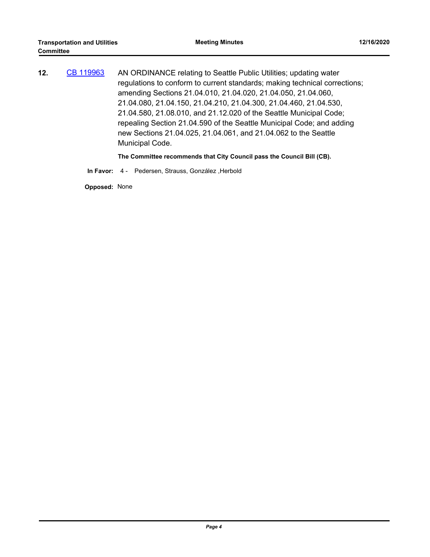| 12. | CB 119963 | AN ORDINANCE relating to Seattle Public Utilities; updating water          |
|-----|-----------|----------------------------------------------------------------------------|
|     |           | regulations to conform to current standards; making technical corrections; |
|     |           | amending Sections 21.04.010, 21.04.020, 21.04.050, 21.04.060,              |
|     |           | 21.04.080, 21.04.150, 21.04.210, 21.04.300, 21.04.460, 21.04.530,          |
|     |           | 21.04.580, 21.08.010, and 21.12.020 of the Seattle Municipal Code;         |
|     |           | repealing Section 21.04.590 of the Seattle Municipal Code; and adding      |
|     |           | new Sections 21.04.025, 21.04.061, and 21.04.062 to the Seattle            |
|     |           | Municipal Code.                                                            |
|     |           |                                                                            |

**The Committee recommends that City Council pass the Council Bill (CB).**

**In Favor:** 4 - Pedersen, Strauss, González ,Herbold

**Opposed:** None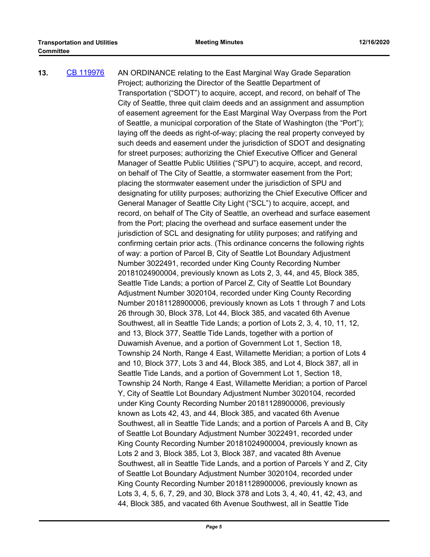| Transportation ("SDOT") to acquire, accept, and record, on behalf of The<br>City of Seattle, three quit claim deeds and an assignment and assumption<br>of easement agreement for the East Marginal Way Overpass from the Port<br>of Seattle, a municipal corporation of the State of Washington (the "Port");<br>laying off the deeds as right-of-way; placing the real property conveyed by<br>such deeds and easement under the jurisdiction of SDOT and designating<br>for street purposes; authorizing the Chief Executive Officer and General |
|-----------------------------------------------------------------------------------------------------------------------------------------------------------------------------------------------------------------------------------------------------------------------------------------------------------------------------------------------------------------------------------------------------------------------------------------------------------------------------------------------------------------------------------------------------|
|                                                                                                                                                                                                                                                                                                                                                                                                                                                                                                                                                     |
|                                                                                                                                                                                                                                                                                                                                                                                                                                                                                                                                                     |
|                                                                                                                                                                                                                                                                                                                                                                                                                                                                                                                                                     |
|                                                                                                                                                                                                                                                                                                                                                                                                                                                                                                                                                     |
|                                                                                                                                                                                                                                                                                                                                                                                                                                                                                                                                                     |
|                                                                                                                                                                                                                                                                                                                                                                                                                                                                                                                                                     |
|                                                                                                                                                                                                                                                                                                                                                                                                                                                                                                                                                     |
|                                                                                                                                                                                                                                                                                                                                                                                                                                                                                                                                                     |
| Manager of Seattle Public Utilities ("SPU") to acquire, accept, and record,                                                                                                                                                                                                                                                                                                                                                                                                                                                                         |
| on behalf of The City of Seattle, a stormwater easement from the Port;                                                                                                                                                                                                                                                                                                                                                                                                                                                                              |
|                                                                                                                                                                                                                                                                                                                                                                                                                                                                                                                                                     |
| designating for utility purposes; authorizing the Chief Executive Officer and                                                                                                                                                                                                                                                                                                                                                                                                                                                                       |
| General Manager of Seattle City Light ("SCL") to acquire, accept, and                                                                                                                                                                                                                                                                                                                                                                                                                                                                               |
| record, on behalf of The City of Seattle, an overhead and surface easement                                                                                                                                                                                                                                                                                                                                                                                                                                                                          |
|                                                                                                                                                                                                                                                                                                                                                                                                                                                                                                                                                     |
| jurisdiction of SCL and designating for utility purposes; and ratifying and                                                                                                                                                                                                                                                                                                                                                                                                                                                                         |
| confirming certain prior acts. (This ordinance concerns the following rights                                                                                                                                                                                                                                                                                                                                                                                                                                                                        |
| of way: a portion of Parcel B, City of Seattle Lot Boundary Adjustment                                                                                                                                                                                                                                                                                                                                                                                                                                                                              |
|                                                                                                                                                                                                                                                                                                                                                                                                                                                                                                                                                     |
| 20181024900004, previously known as Lots 2, 3, 44, and 45, Block 385,                                                                                                                                                                                                                                                                                                                                                                                                                                                                               |
| Seattle Tide Lands; a portion of Parcel Z, City of Seattle Lot Boundary                                                                                                                                                                                                                                                                                                                                                                                                                                                                             |
| Adjustment Number 3020104, recorded under King County Recording                                                                                                                                                                                                                                                                                                                                                                                                                                                                                     |
| Number 20181128900006, previously known as Lots 1 through 7 and Lots                                                                                                                                                                                                                                                                                                                                                                                                                                                                                |
| 26 through 30, Block 378, Lot 44, Block 385, and vacated 6th Avenue                                                                                                                                                                                                                                                                                                                                                                                                                                                                                 |
| Southwest, all in Seattle Tide Lands; a portion of Lots 2, 3, 4, 10, 11, 12,                                                                                                                                                                                                                                                                                                                                                                                                                                                                        |
|                                                                                                                                                                                                                                                                                                                                                                                                                                                                                                                                                     |
|                                                                                                                                                                                                                                                                                                                                                                                                                                                                                                                                                     |
| Township 24 North, Range 4 East, Willamette Meridian; a portion of Lots 4                                                                                                                                                                                                                                                                                                                                                                                                                                                                           |
| and 10, Block 377, Lots 3 and 44, Block 385, and Lot 4, Block 387, all in                                                                                                                                                                                                                                                                                                                                                                                                                                                                           |
|                                                                                                                                                                                                                                                                                                                                                                                                                                                                                                                                                     |
| Township 24 North, Range 4 East, Willamette Meridian; a portion of Parcel                                                                                                                                                                                                                                                                                                                                                                                                                                                                           |
| Y, City of Seattle Lot Boundary Adjustment Number 3020104, recorded                                                                                                                                                                                                                                                                                                                                                                                                                                                                                 |
|                                                                                                                                                                                                                                                                                                                                                                                                                                                                                                                                                     |
|                                                                                                                                                                                                                                                                                                                                                                                                                                                                                                                                                     |
| Southwest, all in Seattle Tide Lands; and a portion of Parcels A and B, City                                                                                                                                                                                                                                                                                                                                                                                                                                                                        |
| of Seattle Lot Boundary Adjustment Number 3022491, recorded under                                                                                                                                                                                                                                                                                                                                                                                                                                                                                   |
| King County Recording Number 20181024900004, previously known as                                                                                                                                                                                                                                                                                                                                                                                                                                                                                    |
|                                                                                                                                                                                                                                                                                                                                                                                                                                                                                                                                                     |
| Southwest, all in Seattle Tide Lands, and a portion of Parcels Y and Z, City                                                                                                                                                                                                                                                                                                                                                                                                                                                                        |
| of Seattle Lot Boundary Adjustment Number 3020104, recorded under                                                                                                                                                                                                                                                                                                                                                                                                                                                                                   |
| King County Recording Number 20181128900006, previously known as                                                                                                                                                                                                                                                                                                                                                                                                                                                                                    |
| Lots 3, 4, 5, 6, 7, 29, and 30, Block 378 and Lots 3, 4, 40, 41, 42, 43, and                                                                                                                                                                                                                                                                                                                                                                                                                                                                        |
| 44, Block 385, and vacated 6th Avenue Southwest, all in Seattle Tide                                                                                                                                                                                                                                                                                                                                                                                                                                                                                |
| from the Port; placing the overhead and surface easement under the<br>under King County Recording Number 20181128900006, previously                                                                                                                                                                                                                                                                                                                                                                                                                 |